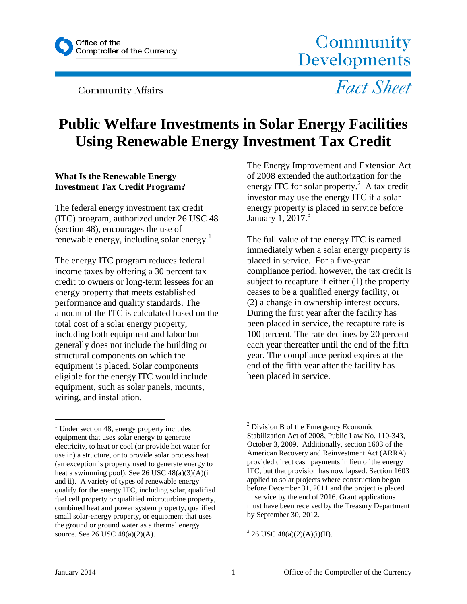

**Community Affairs** 

Community Developments

**Fact Sheet** 

# **Public Welfare Investments in Solar Energy Facilities Using Renewable Energy Investment Tax Credit**

### **What Is the Renewable Energy Investment Tax Credit Program?**

The federal energy investment tax credit (ITC) program, authorized under 26 USC 48 (section 48), encourages the use of renewable energy, including solar energy.<sup>1</sup>

The energy ITC program reduces federal income taxes by offering a 30 percent tax credit to owners or long-term lessees for an energy property that meets established performance and quality standards. The amount of the ITC is calculated based on the total cost of a solar energy property, including both equipment and labor but generally does not include the building or structural components on which the equipment is placed. Solar components eligible for the energy ITC would include equipment, such as solar panels, mounts, wiring, and installation.

The Energy Improvement and Extension Act of 2008 extended the authorization for the energy ITC for solar property.<sup>2</sup> A tax credit investor may use the energy ITC if a solar energy property is placed in service before January 1, 2017.<sup>3</sup>

The full value of the energy ITC is earned immediately when a solar energy property is placed in service. For a five-year compliance period, however, the tax credit is subject to recapture if either (1) the property ceases to be a qualified energy facility, or (2) a change in ownership interest occurs. During the first year after the facility has been placed in service, the recapture rate is 100 percent. The rate declines by 20 percent each year thereafter until the end of the fifth year. The compliance period expires at the end of the fifth year after the facility has been placed in service.

 $<sup>1</sup>$  Under section 48, energy property includes</sup> equipment that uses solar energy to generate electricity, to heat or cool (or provide hot water for use in) a structure, or to provide solar process heat (an exception is property used to generate energy to heat a swimming pool). See 26 USC 48(a)(3)(A)(i and ii). A variety of types of renewable energy qualify for the energy ITC, including solar, qualified fuel cell property or qualified microturbine property, combined heat and power system property, qualified small solar-energy property, or equipment that uses the ground or ground water as a thermal energy source. See 26 USC 48(a)(2)(A).

 $2$  Division B of the Emergency Economic Stabilization Act of 2008, Public Law No. 110-343, October 3, 2009. Additionally, section 1603 of the American Recovery and Reinvestment Act (ARRA) provided direct cash payments in lieu of the energy ITC, but that provision has now lapsed. Section 1603 applied to solar projects where construction began before December 31, 2011 and the project is placed in service by the end of 2016. Grant applications must have been received by the Treasury Department by September 30, 2012.

 $3^{3}$  26 USC 48(a)(2)(A)(i)(II).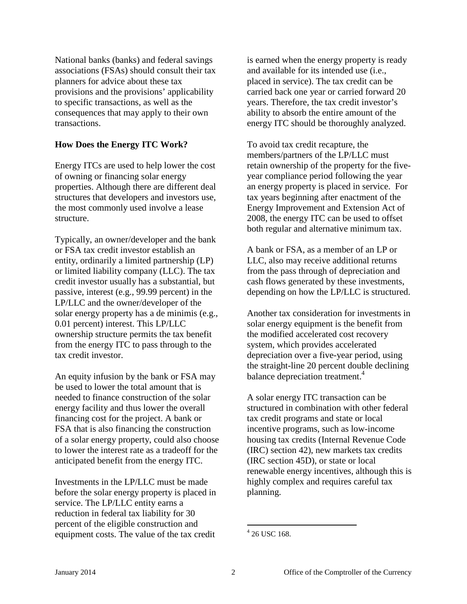National banks (banks) and federal savings associations (FSAs) should consult their tax planners for advice about these tax provisions and the provisions' applicability to specific transactions, as well as the consequences that may apply to their own transactions.

### **How Does the Energy ITC Work?**

Energy ITCs are used to help lower the cost of owning or financing solar energy properties. Although there are different deal structures that developers and investors use, the most commonly used involve a lease structure.

Typically, an owner/developer and the bank or FSA tax credit investor establish an entity, ordinarily a limited partnership (LP) or limited liability company (LLC). The tax credit investor usually has a substantial, but passive, interest (e.g., 99.99 percent) in the LP/LLC and the owner/developer of the solar energy property has a de minimis (e.g., 0.01 percent) interest. This LP/LLC ownership structure permits the tax benefit from the energy ITC to pass through to the tax credit investor.

An equity infusion by the bank or FSA may be used to lower the total amount that is needed to finance construction of the solar energy facility and thus lower the overall financing cost for the project. A bank or FSA that is also financing the construction of a solar energy property, could also choose to lower the interest rate as a tradeoff for the anticipated benefit from the energy ITC.

Investments in the LP/LLC must be made before the solar energy property is placed in service. The LP/LLC entity earns a reduction in federal tax liability for 30 percent of the eligible construction and equipment costs. The value of the tax credit

is earned when the energy property is ready and available for its intended use (i.e., placed in service). The tax credit can be carried back one year or carried forward 20 years. Therefore, the tax credit investor's ability to absorb the entire amount of the energy ITC should be thoroughly analyzed.

To avoid tax credit recapture, the members/partners of the LP/LLC must retain ownership of the property for the fiveyear compliance period following the year an energy property is placed in service. For tax years beginning after enactment of the Energy Improvement and Extension Act of 2008, the energy ITC can be used to offset both regular and alternative minimum tax.

A bank or FSA, as a member of an LP or LLC, also may receive additional returns from the pass through of depreciation and cash flows generated by these investments, depending on how the LP/LLC is structured.

Another tax consideration for investments in solar energy equipment is the benefit from the modified accelerated cost recovery system, which provides accelerated depreciation over a five-year period, using the straight-line 20 percent double declining balance depreciation treatment. 4

A solar energy ITC transaction can be structured in combination with other federal tax credit programs and state or local incentive programs, such as low-income housing tax credits (Internal Revenue Code (IRC) section 42), new markets tax credits (IRC section 45D), or state or local renewable energy incentives, although this is highly complex and requires careful tax planning.

 $4$  26 USC 168.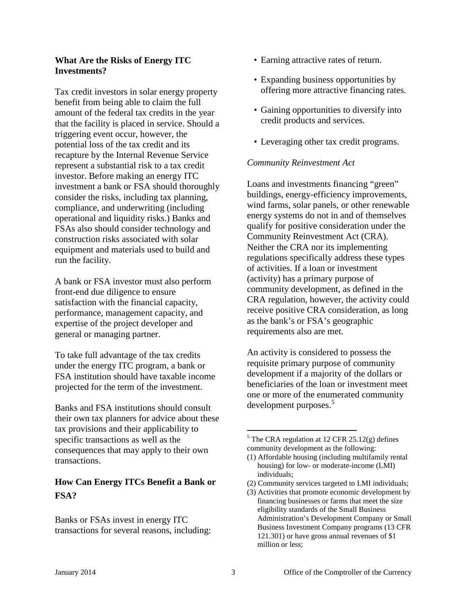### **What Are the Risks of Energy ITC Investments?**

Tax credit investors in solar energy property benefit from being able to claim the full amount of the federal tax credits in the year that the facility is placed in service. Should a triggering event occur, however, the potential loss of the tax credit and its recapture by the Internal Revenue Service represent a substantial risk to a tax credit investor. Before making an energy ITC investment a bank or FSA should thoroughly consider the risks, including tax planning, compliance, and underwriting (including operational and liquidity risks.) Banks and FSAs also should consider technology and construction risks associated with solar equipment and materials used to build and run the facility.

A bank or FSA investor must also perform front-end due diligence to ensure satisfaction with the financial capacity, performance, management capacity, and expertise of the project developer and general or managing partner.

To take full advantage of the tax credits under the energy ITC program, a bank or FSA institution should have taxable income projected for the term of the investment.

Banks and FSA institutions should consult their own tax planners for advice about these tax provisions and their applicability to specific transactions as well as the consequences that may apply to their own transactions.

## **How Can Energy ITCs Benefit a Bank or FSA?**

Banks or FSAs invest in energy ITC transactions for several reasons, including:

- Earning attractive rates of return.
- Expanding business opportunities by offering more attractive financing rates.
- Gaining opportunities to diversify into credit products and services.
- Leveraging other tax credit programs.

### *Community Reinvestment Act*

Loans and investments financing "green" buildings, energy-efficiency improvements, wind farms, solar panels, or other renewable energy systems do not in and of themselves qualify for positive consideration under the Community Reinvestment Act (CRA). Neither the CRA nor its implementing regulations specifically address these types of activities. If a loan or investment (activity) has a primary purpose of community development, as defined in the CRA regulation, however, the activity could receive positive CRA consideration, as long as the bank's or FSA's geographic requirements also are met.

An activity is considered to possess the requisite primary purpose of community development if a majority of the dollars or beneficiaries of the loan or investment meet one or more of the enumerated community development purposes.<sup>5</sup>

- (2) Community services targeted to LMI individuals;
- (3) Activities that promote economic development by financing businesses or farms that meet the size eligibility standards of the Small Business Administration's Development Company or Small Business Investment Company programs (13 CFR 121.301) or have gross annual revenues of \$1 million or less;

 $5$  The CRA regulation at 12 CFR 25.12(g) defines community development as the following:

<sup>(1)</sup> Affordable housing (including multifamily rental housing) for low- or moderate-income (LMI) individuals;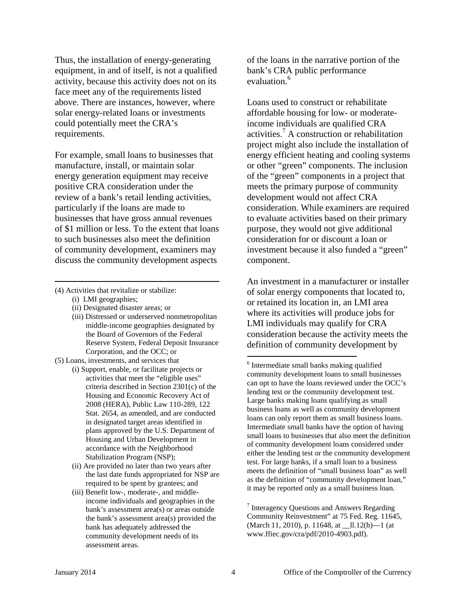Thus, the installation of energy-generating equipment, in and of itself, is not a qualified activity, because this activity does not on its face meet any of the requirements listed above. There are instances, however, where solar energy-related loans or investments could potentially meet the CRA's requirements.

For example, small loans to businesses that manufacture, install, or maintain solar energy generation equipment may receive positive CRA consideration under the review of a bank's retail lending activities, particularly if the loans are made to businesses that have gross annual revenues of \$1 million or less. To the extent that loans to such businesses also meet the definition of community development, examiners may discuss the community development aspects

(4) Activities that revitalize or stabilize:

(i) LMI geographies;

- (ii) Designated disaster areas; or
- (iii) Distressed or underserved nonmetropolitan middle-income geographies designated by the Board of Governors of the Federal Reserve System, Federal Deposit Insurance Corporation, and the OCC; or
- (5) Loans, investments, and services that
	- (i) Support, enable, or facilitate projects or activities that meet the "eligible uses" criteria described in Section 2301(c) of the Housing and Economic Recovery Act of 2008 (HERA), Public Law 110-289, 122 Stat. 2654, as amended, and are conducted in designated target areas identified in plans approved by the U.S. Department of Housing and Urban Development in accordance with the Neighborhood Stabilization Program (NSP);
	- (ii) Are provided no later than two years after the last date funds appropriated for NSP are required to be spent by grantees; and
	- (iii) Benefit low-, moderate-, and middleincome individuals and geographies in the bank's assessment area(s) or areas outside the bank's assessment area(s) provided the bank has adequately addressed the community development needs of its assessment areas.

of the loans in the narrative portion of the bank's CRA public performance evaluation.<sup>6</sup>

Loans used to construct or rehabilitate affordable housing for low- or moderateincome individuals are qualified CRA activities.<sup>7</sup> A construction or rehabilitation project might also include the installation of energy efficient heating and cooling systems or other "green" components. The inclusion of the "green" components in a project that meets the primary purpose of community development would not affect CRA consideration. While examiners are required to evaluate activities based on their primary purpose, they would not give additional consideration for or discount a loan or investment because it also funded a "green" component.

An investment in a manufacturer or installer of solar energy components that located to, or retained its location in, an LMI area where its activities will produce jobs for LMI individuals may qualify for CRA consideration because the activity meets the definition of community development by

<sup>7</sup> Interagency Questions and Answers Regarding Community Reinvestment" at 75 Fed. Reg. 11645, (March 11, 2010), p. 11648, at \_\_ll.12(h)—1 (at www.ffiec.gov/cra/pdf/2010-4903.pdf).

<sup>&</sup>lt;sup>6</sup> Intermediate small banks making qualified community development loans to small businesses can opt to have the loans reviewed under the OCC's lending test or the community development test. Large banks making loans qualifying as small business loans as well as community development loans can only report them as small business loans. Intermediate small banks have the option of having small loans to businesses that also meet the definition of community development loans considered under either the lending test or the community development test. For large banks, if a small loan to a business meets the definition of "small business loan" as well as the definition of "community development loan," it may be reported only as a small business loan.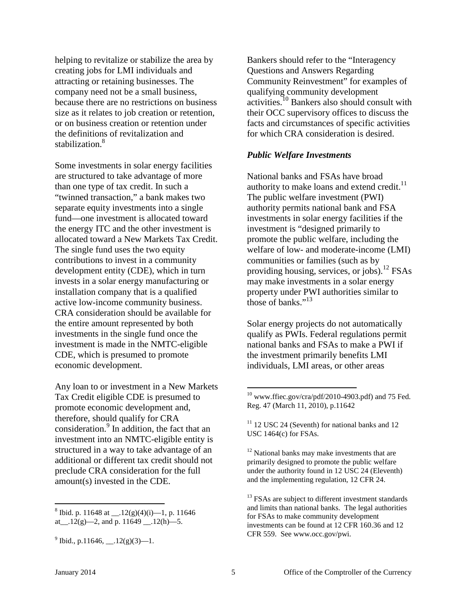helping to revitalize or stabilize the area by creating jobs for LMI individuals and attracting or retaining businesses. The company need not be a small business, because there are no restrictions on business size as it relates to job creation or retention, or on business creation or retention under the definitions of revitalization and stabilization.<sup>8</sup>

Some investments in solar energy facilities are structured to take advantage of more than one type of tax credit. In such a "twinned transaction," a bank makes two separate equity investments into a single fund—one investment is allocated toward the energy ITC and the other investment is allocated toward a New Markets Tax Credit. The single fund uses the two equity contributions to invest in a community development entity (CDE), which in turn invests in a solar energy manufacturing or installation company that is a qualified active low-income community business. CRA consideration should be available for the entire amount represented by both investments in the single fund once the investment is made in the NMTC-eligible CDE, which is presumed to promote economic development.

Any loan to or investment in a New Markets Tax Credit eligible CDE is presumed to promote economic development and, therefore, should qualify for CRA consideration.<sup>9</sup> In addition, the fact that an investment into an NMTC-eligible entity is structured in a way to take advantage of an additional or different tax credit should not preclude CRA consideration for the full amount(s) invested in the CDE.

Bankers should refer to the "Interagency Questions and Answers Regarding Community Reinvestment" for examples of qualifying community development activities.<sup>10</sup> Bankers also should consult with their OCC supervisory offices to discuss the facts and circumstances of specific activities for which CRA consideration is desired.

#### *Public Welfare Investments*

National banks and FSAs have broad authority to make loans and extend credit. $11$ The public welfare investment (PWI) authority permits national bank and FSA investments in solar energy facilities if the investment is "designed primarily to promote the public welfare, including the welfare of low- and moderate-income (LMI) communities or families (such as by providing housing, services, or jobs).<sup>12</sup> FSAs may make investments in a solar energy property under PWI authorities similar to those of banks."<sup>13</sup>

Solar energy projects do not automatically qualify as PWIs. Federal regulations permit national banks and FSAs to make a PWI if the investment primarily benefits LMI individuals, LMI areas, or other areas

<sup>12</sup> National banks may make investments that are primarily designed to promote the public welfare under the authority found in 12 USC 24 (Eleventh) and the implementing regulation, 12 CFR 24.

<sup>&</sup>lt;sup>8</sup> Ibid. p. 11648 at  $.12(g)(4)(i)$ —1, p. 11646 at  $.12(g)$ —2, and p. 11649  $.12(h)$ —5.

 $^{9}$  Ibid., p.11646, \_\_.12(g)(3)—1.

 $10$  www.ffiec.gov/cra/pdf/2010-4903.pdf) and 75 Fed. Reg. 47 (March 11, 2010), p.11642

 $11$  12 USC 24 (Seventh) for national banks and 12 USC 1464(c) for FSAs.

<sup>&</sup>lt;sup>13</sup> FSAs are subject to different investment standards and limits than national banks. The legal authorities for FSAs to make community development investments can be found at 12 CFR 160.36 and 12 CFR 559. See www.occ.gov/pwi.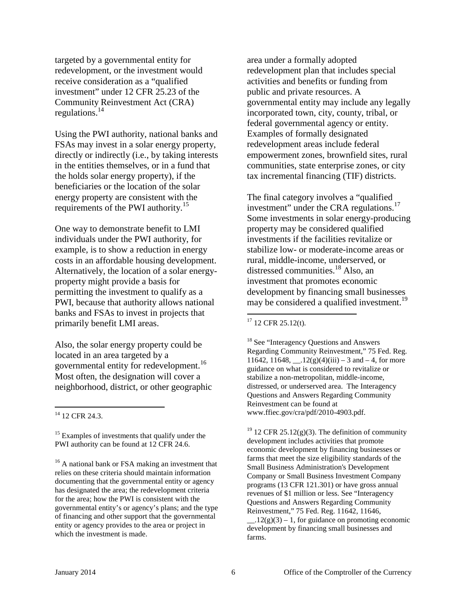targeted by a governmental entity for redevelopment, or the investment would receive consideration as a "qualified investment" under 12 CFR 25.23 of the Community Reinvestment Act (CRA) regulations. $^{14}$ 

Using the PWI authority, national banks and FSAs may invest in a solar energy property, directly or indirectly (i.e., by taking interests in the entities themselves, or in a fund that the holds solar energy property), if the beneficiaries or the location of the solar energy property are consistent with the requirements of the PWI authority.<sup>15</sup>

One way to demonstrate benefit to LMI individuals under the PWI authority, for example, is to show a reduction in energy costs in an affordable housing development. Alternatively, the location of a solar energyproperty might provide a basis for permitting the investment to qualify as a PWI, because that authority allows national banks and FSAs to invest in projects that primarily benefit LMI areas.

Also, the solar energy property could be located in an area targeted by a governmental entity for redevelopment.<sup>16</sup> Most often, the designation will cover a neighborhood, district, or other geographic

area under a formally adopted redevelopment plan that includes special activities and benefits or funding from public and private resources. A governmental entity may include any legally incorporated town, city, county, tribal, or federal governmental agency or entity. Examples of formally designated redevelopment areas include federal empowerment zones, brownfield sites, rural communities, state enterprise zones, or city tax incremental financing (TIF) districts.

The final category involves a "qualified investment" under the CRA regulations.<sup>17</sup> Some investments in solar energy-producing property may be considered qualified investments if the facilities revitalize or stabilize low- or moderate-income areas or rural, middle-income, underserved, or distressed communities.18 Also, an investment that promotes economic development by financing small businesses may be considered a qualified investment.<sup>19</sup>

<sup>18</sup> See "Interagency Questions and Answers" Regarding Community Reinvestment," 75 Fed. Reg. 11642, 11648,  $.12(g)(4)(iii) - 3$  and  $-4$ , for more guidance on what is considered to revitalize or stabilize a non-metropolitan, middle-income, distressed, or underserved area. The Interagency Questions and Answers Regarding Community Reinvestment can be found at www.ffiec.gov/cra/pdf/2010-4903.pdf.

<sup>19</sup> 12 CFR 25.12(g)(3). The definition of community development includes activities that promote economic development by financing businesses or farms that meet the size eligibility standards of the Small Business Administration's Development Company or Small Business Investment Company programs (13 CFR 121.301) or have gross annual revenues of \$1 million or less. See "Interagency Questions and Answers Regarding Community Reinvestment," 75 Fed. Reg. 11642, 11646,

 $\angle$  12(g)(3) – 1, for guidance on promoting economic development by financing small businesses and farms.

<sup>&</sup>lt;sup>14</sup> 12 CFR 24.3.

<sup>&</sup>lt;sup>15</sup> Examples of investments that qualify under the PWI authority can be found at 12 CFR 24.6.

<sup>&</sup>lt;sup>16</sup> A national bank or FSA making an investment that relies on these criteria should maintain information documenting that the governmental entity or agency has designated the area; the redevelopment criteria for the area; how the PWI is consistent with the governmental entity's or agency's plans; and the type of financing and other support that the governmental entity or agency provides to the area or project in which the investment is made.

  $17$  12 CFR 25.12(t).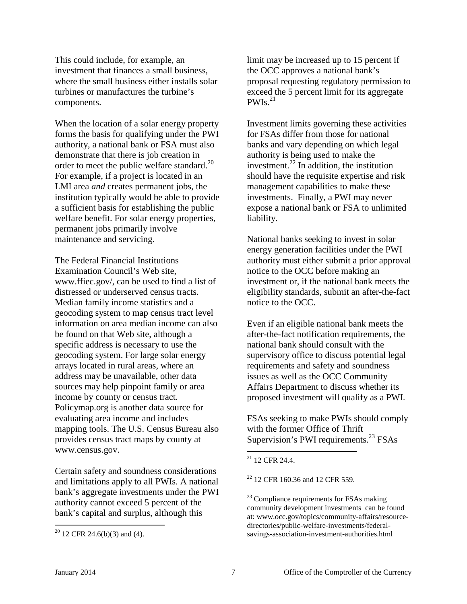This could include, for example, an investment that finances a small business, where the small business either installs solar turbines or manufactures the turbine's components.

When the location of a solar energy property forms the basis for qualifying under the PWI authority, a national bank or FSA must also demonstrate that there is job creation in order to meet the public welfare standard.<sup>20</sup> For example, if a project is located in an LMI area *and* creates permanent jobs, the institution typically would be able to provide a sufficient basis for establishing the public welfare benefit. For solar energy properties, permanent jobs primarily involve maintenance and servicing.

The Federal Financial Institutions Examination Council's Web site, www.ffiec.gov/, can be used to find a list of distressed or underserved census tracts. Median family income statistics and a geocoding system to map census tract level information on area median income can also be found on that Web site, although a specific address is necessary to use the geocoding system. For large solar energy arrays located in rural areas, where an address may be unavailable, other data sources may help pinpoint family or area income by county or census tract. [Policymap.org](http://www.policymap.org/) is another data source for evaluating area income and includes mapping tools. The U.S. Census Bureau also provides census tract maps by county at www.census.gov.

Certain safety and soundness considerations and limitations apply to all PWIs. A national bank's aggregate investments under the PWI authority cannot exceed 5 percent of the bank's capital and surplus, although this

limit may be increased up to 15 percent if the OCC approves a national bank's proposal requesting regulatory permission to exceed the 5 percent limit for its aggregate  $PWIs.<sup>21</sup>$ 

Investment limits governing these activities for FSAs differ from those for national banks and vary depending on which legal authority is being used to make the investment. $^{22}$  In addition, the institution should have the requisite expertise and risk management capabilities to make these investments. Finally, a PWI may never expose a national bank or FSA to unlimited liability.

National banks seeking to invest in solar energy generation facilities under the PWI authority must either submit a prior approval notice to the OCC before making an investment or, if the national bank meets the eligibility standards, submit an after-the-fact notice to the OCC.

Even if an eligible national bank meets the after-the-fact notification requirements, the national bank should consult with the supervisory office to discuss potential legal requirements and safety and soundness issues as well as the OCC Community Affairs Department to discuss whether its proposed investment will qualify as a PWI.

FSAs seeking to make PWIs should comply with the former Office of Thrift Supervision's PWI requirements.<sup>23</sup> FSAs

 $20$  12 CFR 24.6(b)(3) and (4).

 $21$  12 CFR 24.4.

<sup>22</sup> 12 CFR 160.36 and 12 CFR 559.

 $23$  Compliance requirements for FSAs making community development investments can be found at: www.occ.gov/topics/community-affairs/resourcedirectories/public-welfare-investments/federalsavings-association-investment-authorities.html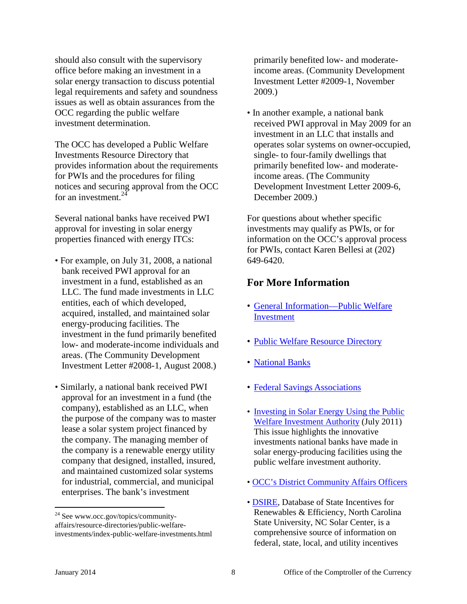should also consult with the supervisory office before making an investment in a solar energy transaction to discuss potential legal requirements and safety and soundness issues as well as obtain assurances from the OCC regarding the public welfare investment determination.

The OCC has developed a Public Welfare Investments Resource Directory that provides information about the requirements for PWIs and the procedures for filing notices and securing approval from the OCC for an investment.  $24$ 

Several national banks have received PWI approval for investing in solar energy properties financed with energy ITCs:

- For example, on July 31, 2008, a national bank received PWI approval for an investment in a fund, established as an LLC. The fund made investments in LLC entities, each of which developed, acquired, installed, and maintained solar energy-producing facilities. The investment in the fund primarily benefited low- and moderate-income individuals and areas. (The Community Development Investment Letter #2008-1, August 2008.)
- Similarly, a national bank received PWI approval for an investment in a fund (the company), established as an LLC, when the purpose of the company was to master lease a solar system project financed by the company. The managing member of the company is a renewable energy utility company that designed, installed, insured, and maintained customized solar systems for industrial, commercial, and municipal enterprises. The bank's investment

primarily benefited low- and moderateincome areas. (Community Development Investment Letter #2009-1, November 2009.)

• In another example, a national bank received PWI approval in May 2009 for an investment in an LLC that installs and operates solar systems on owner-occupied, single- to four-family dwellings that primarily benefited low- and moderateincome areas. (The Community Development Investment Letter 2009-6, December 2009.)

For questions about whether specific investments may qualify as PWIs, or for information on the OCC's approval process for PWIs, contact Karen Bellesi at (202) 649-6420.

## **For More Information**

- [General Information—Public Welfare](http://www.occ.gov/topics/community-affairs/resource-directories/public-welfare-investments/national-bank-public-welfare-investment-authority.html)  [Investment](http://www.occ.gov/topics/community-affairs/resource-directories/public-welfare-investments/national-bank-public-welfare-investment-authority.html)
- [Public Welfare Resource Directory](http://www.occ.gov/topics/community-affairs/resource-directories/public-welfare-investments/index-public-welfare-investments.html)
- [National Banks](http://www.occ.gov/topics/community-affairs/resource-directories/public-welfare-investments/national-bank-public-welfare-investment-authority.html)
- [Federal Savings Associations](http://www.occ.gov/topics/community-affairs/resource-directories/public-welfare-investments/federal-savings-association-investment-authorities.html)
- [Investing in Solar Energy Using the Public](http://www.occ.gov/static/community-affairs/community-developments-investments/solar11/2011-solar-cdezine-final.pdf)  [Welfare Investment Authority](http://www.occ.gov/static/community-affairs/community-developments-investments/solar11/2011-solar-cdezine-final.pdf) (July 2011) This issue highlights the innovative investments national banks have made in solar energy-producing facilities using the public welfare investment authority.
- • [OCC's District Community Affairs Officers](http://www.occ.gov/topics/community-affairs/contacts.html)
- • [DSIRE,](http://www.dsireusa.org/) Database of State Incentives for Renewables & Efficiency, North Carolina State University, NC Solar Center, is a comprehensive source of information on federal, state, local, and utility incentives

<sup>&</sup>lt;sup>24</sup> See www.occ.gov/topics/communityaffairs/resource-directories/public-welfareinvestments/index-public-welfare-investments.html